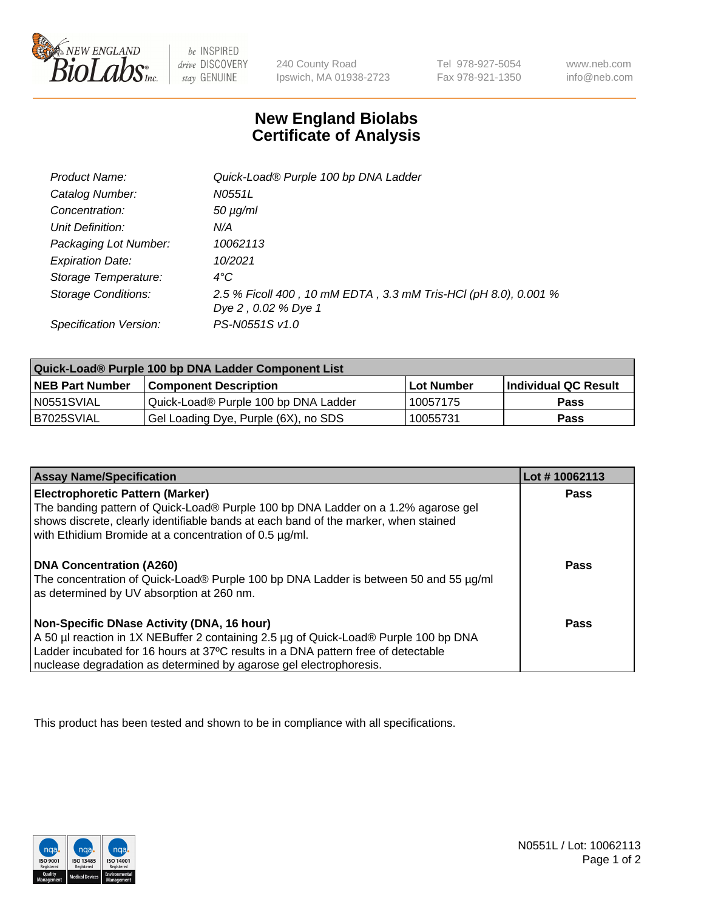

 $be$  INSPIRED drive DISCOVERY stay GENUINE

240 County Road Ipswich, MA 01938-2723 Tel 978-927-5054 Fax 978-921-1350

www.neb.com info@neb.com

## **New England Biolabs Certificate of Analysis**

| Product Name:              | Quick-Load® Purple 100 bp DNA Ladder                                                   |
|----------------------------|----------------------------------------------------------------------------------------|
| Catalog Number:            | N0551L                                                                                 |
| Concentration:             | $50 \mu g/ml$                                                                          |
| Unit Definition:           | N/A                                                                                    |
| Packaging Lot Number:      | 10062113                                                                               |
| <b>Expiration Date:</b>    | 10/2021                                                                                |
| Storage Temperature:       | $4^{\circ}$ C                                                                          |
| <b>Storage Conditions:</b> | 2.5 % Ficoll 400, 10 mM EDTA, 3.3 mM Tris-HCl (pH 8.0), 0.001 %<br>Dye 2, 0.02 % Dye 1 |
| Specification Version:     | PS-N0551S v1.0                                                                         |

| Quick-Load® Purple 100 bp DNA Ladder Component List |                                      |              |                      |  |
|-----------------------------------------------------|--------------------------------------|--------------|----------------------|--|
| <b>NEB Part Number</b>                              | <b>Component Description</b>         | l Lot Number | Individual QC Result |  |
| N0551SVIAL                                          | Quick-Load® Purple 100 bp DNA Ladder | 10057175     | <b>Pass</b>          |  |
| I B7025SVIAL                                        | Gel Loading Dye, Purple (6X), no SDS | 10055731     | Pass                 |  |

| <b>Assay Name/Specification</b>                                                                                                                                                                                                                                                               | Lot #10062113 |
|-----------------------------------------------------------------------------------------------------------------------------------------------------------------------------------------------------------------------------------------------------------------------------------------------|---------------|
| <b>Electrophoretic Pattern (Marker)</b><br>The banding pattern of Quick-Load® Purple 100 bp DNA Ladder on a 1.2% agarose gel<br>shows discrete, clearly identifiable bands at each band of the marker, when stained<br>with Ethidium Bromide at a concentration of 0.5 µg/ml.                 | <b>Pass</b>   |
| <b>DNA Concentration (A260)</b><br>The concentration of Quick-Load® Purple 100 bp DNA Ladder is between 50 and 55 µg/ml<br>as determined by UV absorption at 260 nm.                                                                                                                          | Pass          |
| Non-Specific DNase Activity (DNA, 16 hour)<br>A 50 µl reaction in 1X NEBuffer 2 containing 2.5 µg of Quick-Load® Purple 100 bp DNA<br>Ladder incubated for 16 hours at 37°C results in a DNA pattern free of detectable<br>nuclease degradation as determined by agarose gel electrophoresis. | Pass          |

This product has been tested and shown to be in compliance with all specifications.